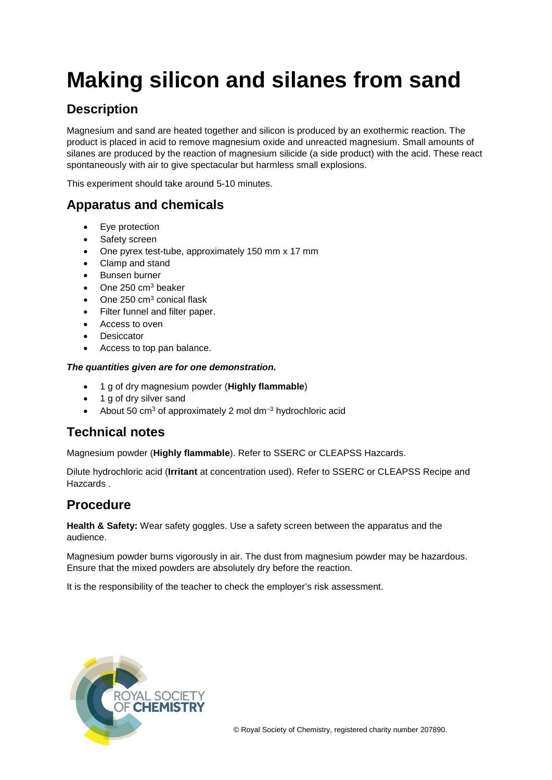# **Making silicon and silanes from sand**

## **Description**

Magnesium and sand are heated together and silicon is produced by an exothermic reaction. The product is placed in acid to remove magnesium oxide and unreacted magnesium. Small amounts of silanes are produced by the reaction of magnesium silicide (a side product) with the acid. These react spontaneously with air to give spectacular but harmless small explosions.

This experiment should take around 5-10 minutes.

## **Apparatus and chemicals**

- Eye protection
- Safety screen
- One pyrex test-tube, approximately 150 mm x 17 mm
- Clamp and stand
- Bunsen burner
- One 250 cm<sup>3</sup> beaker
- One 250  $cm<sup>3</sup>$  conical flask
- Filter funnel and filter paper.
- Access to oven
- **Desiccator**
- Access to top pan balance.

#### *The quantities given are for one demonstration.*

- 1 g of dry magnesium powder (**Highly flammable**)
- 1 g of dry silver sand
- About 50 cm<sup>3</sup> of approximately 2 mol dm<sup>-3</sup> hydrochloric acid

## **Technical notes**

Magnesium powder (**Highly flammable**). Refer to SSERC or CLEAPSS Hazcards.

Dilute hydrochloric acid (**Irritant** at concentration used). Refer to SSERC or CLEAPSS Recipe and Hazcards .

### **Procedure**

**Health & Safety:** Wear safety goggles. Use a safety screen between the apparatus and the audience.

Magnesium powder burns vigorously in air. The dust from magnesium powder may be hazardous. Ensure that the mixed powders are absolutely dry before the reaction.

It is the responsibility of the teacher to check the employer's risk assessment.

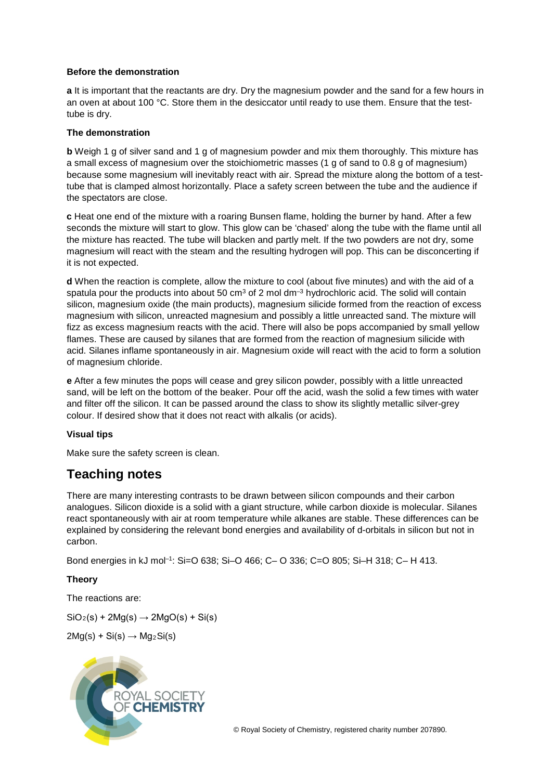#### **Before the demonstration**

**a** It is important that the reactants are dry. Dry the magnesium powder and the sand for a few hours in an oven at about 100 °C. Store them in the desiccator until ready to use them. Ensure that the testtube is dry.

#### **The demonstration**

**b** Weigh 1 g of silver sand and 1 g of magnesium powder and mix them thoroughly. This mixture has a small excess of magnesium over the stoichiometric masses (1 g of sand to 0.8 g of magnesium) because some magnesium will inevitably react with air. Spread the mixture along the bottom of a testtube that is clamped almost horizontally. Place a safety screen between the tube and the audience if the spectators are close.

**c** Heat one end of the mixture with a roaring Bunsen flame, holding the burner by hand. After a few seconds the mixture will start to glow. This glow can be 'chased' along the tube with the flame until all the mixture has reacted. The tube will blacken and partly melt. If the two powders are not dry, some magnesium will react with the steam and the resulting hydrogen will pop. This can be disconcerting if it is not expected.

**d** When the reaction is complete, allow the mixture to cool (about five minutes) and with the aid of a spatula pour the products into about 50  $\text{cm}^3$  of 2 mol  $\text{dm}^{-3}$  hydrochloric acid. The solid will contain silicon, magnesium oxide (the main products), magnesium silicide formed from the reaction of excess magnesium with silicon, unreacted magnesium and possibly a little unreacted sand. The mixture will fizz as excess magnesium reacts with the acid. There will also be pops accompanied by small yellow flames. These are caused by silanes that are formed from the reaction of magnesium silicide with acid. Silanes inflame spontaneously in air. Magnesium oxide will react with the acid to form a solution of magnesium chloride.

**e** After a few minutes the pops will cease and grey silicon powder, possibly with a little unreacted sand, will be left on the bottom of the beaker. Pour off the acid, wash the solid a few times with water and filter off the silicon. It can be passed around the class to show its slightly metallic silver-grey colour. If desired show that it does not react with alkalis (or acids).

#### **Visual tips**

Make sure the safety screen is clean.

## **Teaching notes**

There are many interesting contrasts to be drawn between silicon compounds and their carbon analogues. Silicon dioxide is a solid with a giant structure, while carbon dioxide is molecular. Silanes react spontaneously with air at room temperature while alkanes are stable. These differences can be explained by considering the relevant bond energies and availability of d-orbitals in silicon but not in carbon.

Bond energies in kJ mol–1: Si=O 638; Si–O 466; C– O 336; C=O 805; Si–H 318; C– H 413.

#### **Theory**

The reactions are:

 $SiO<sub>2</sub>(s) + 2Mg(s) \rightarrow 2MgO(s) + Si(s)$ 

 $2Mg(s) + Si(s) \rightarrow Mg<sub>2</sub>Si(s)$ 



© Royal Society of Chemistry, registered charity number 207890.